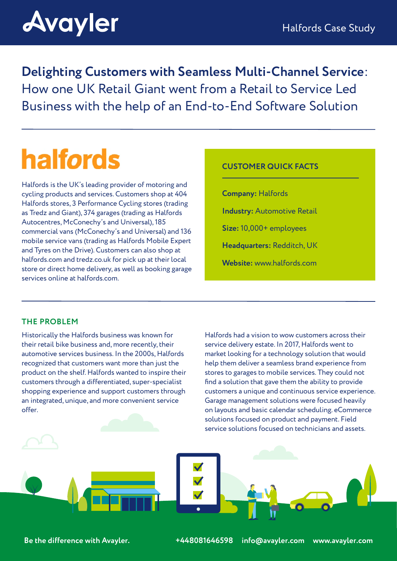# **Avayler**

**Delighting Customers with Seamless Multi-Channel Service**: How one UK Retail Giant went from a Retail to Service Led Business with the help of an End-to-End Software Solution

## **halfords**

Halfords is the UK's leading provider of motoring and cycling products and services. Customers shop at 404 Halfords stores, 3 Performance Cycling stores (trading as Tredz and Giant), 374 garages (trading as Halfords Autocentres, McConechy's and Universal), 185 commercial vans (McConechy's and Universal) and 136 mobile service vans (trading as Halfords Mobile Expert and Tyres on the Drive). Customers can also shop at halfords.com and tredz.co.uk for pick up at their local store or direct home delivery, as well as booking garage services online at halfords.com.

#### **CUSTOMER QUICK FACTS**

**Company:** Halfords **Industry:** Automotive Retail **Size:** 10,000+ employees **Headquarters:** Redditch, UK **Website:** www.halfords.com

### **THE PROBLEM**

Historically the Halfords business was known for their retail bike business and, more recently, their automotive services business. In the 2000s, Halfords recognized that customers want more than just the product on the shelf. Halfords wanted to inspire their customers through a differentiated, super-specialist shopping experience and support customers through an integrated, unique, and more convenient service offer.

Halfords had a vision to wow customers across their service delivery estate. In 2017, Halfords went to market looking for a technology solution that would help them deliver a seamless brand experience from stores to garages to mobile services. They could not find a solution that gave them the ability to provide customers a unique and continuous service experience. Garage management solutions were focused heavily on layouts and basic calendar scheduling. eCommerce solutions focused on product and payment. Field service solutions focused on technicians and assets.

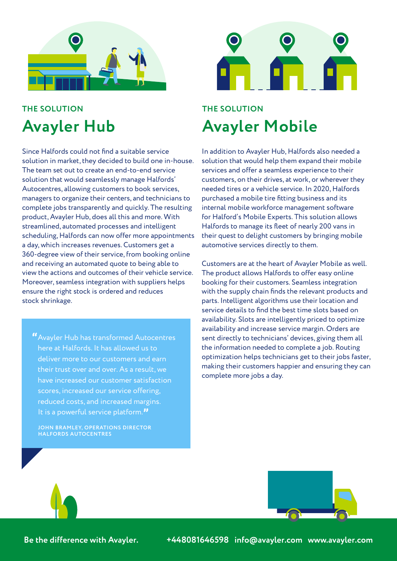

## **THE SOLUTION Avayler Hub**

Since Halfords could not find a suitable service solution in market, they decided to build one in-house. The team set out to create an end-to-end service solution that would seamlessly manage Halfords' Autocentres, allowing customers to book services, managers to organize their centers, and technicians to complete jobs transparently and quickly. The resulting product, Avayler Hub, does all this and more. With streamlined, automated processes and intelligent scheduling, Halfords can now offer more appointments a day, which increases revenues. Customers get a 360-degree view of their service, from booking online and receiving an automated quote to being able to view the actions and outcomes of their vehicle service. Moreover, seamless integration with suppliers helps ensure the right stock is ordered and reduces stock shrinkage.

**"**Avayler Hub has transformed Autocentres here at Halfords. It has allowed us to deliver more to our customers and earn their trust over and over. As a result, we have increased our customer satisfaction scores, increased our service offering, reduced costs, and increased margins. It is a powerful service platform.**"**

**JOHN BRAMLEY, OPERATIONS DIRECTOR HALFORDS AUTOCENTRES** 



## **THE SOLUTION Avayler Mobile**

In addition to Avayler Hub, Halfords also needed a solution that would help them expand their mobile services and offer a seamless experience to their customers, on their drives, at work, or wherever they needed tires or a vehicle service. In 2020, Halfords purchased a mobile tire fitting business and its internal mobile workforce management software for Halford's Mobile Experts. This solution allows Halfords to manage its fleet of nearly 200 vans in their quest to delight customers by bringing mobile automotive services directly to them.

Customers are at the heart of Avayler Mobile as well. The product allows Halfords to offer easy online booking for their customers. Seamless integration with the supply chain finds the relevant products and parts. Intelligent algorithms use their location and service details to find the best time slots based on availability. Slots are intelligently priced to optimize availability and increase service margin. Orders are sent directly to technicians' devices, giving them all the information needed to complete a job. Routing optimization helps technicians get to their jobs faster, making their customers happier and ensuring they can complete more jobs a day.